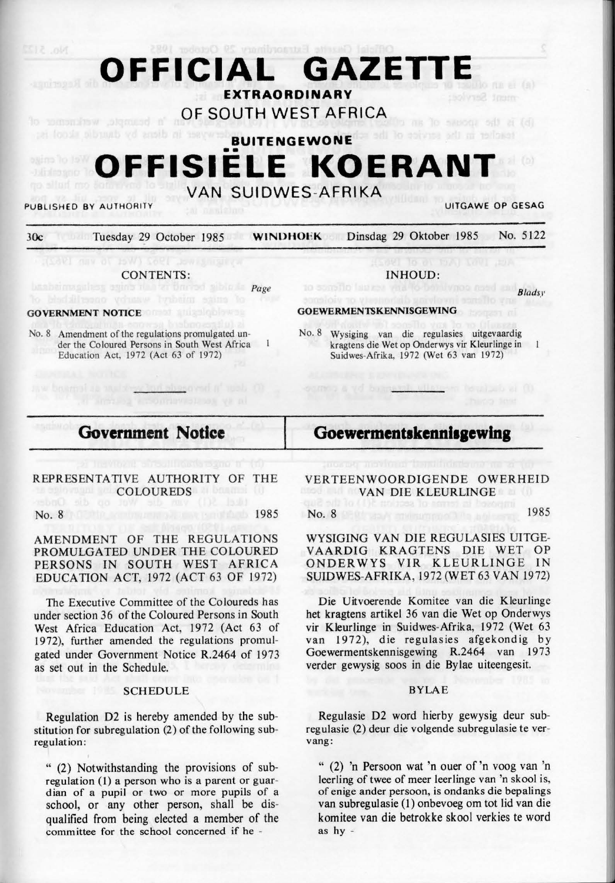# **OFFICIAL GAZETTE EXTRAORDINARY OF SOUTH WEST AFRICA**  'n beampte, werknemer of ns le sacou sit à lei **BUITENGEWONE**  •• **OFFISIELE KOERANT VAN SUIDWES-AFRIKA**

PUBLISHED BY AUTHORITY **UITGAWE OP GESAG** 

30c Tuesday 2\_9 October 1985 **WINDHOEK** Dinsdag 29 Oktober 1985 No. 5 122

### CONTENTS:

alless suins it a tar brased sibile to Page

sisesovad in 1800 (1)

## **GOVERNMENT NOTICE**

aw boarnot as welding

No. 8 Amendment of the regulations promulgated under the Coloured Persons in South West Africa Education Act, 1972 (Act 63 of 1972)

### INHOUD:

*Bladsy* 

### **GOEWERMENTSKENNISGEWING**

a a vd brasan

No. 8 Wysiging van die regulasies uitgevaardig kragtens die Wet op Onderwys vir Kleurlinge in Suidwes-Afrika, 1972 (Wet 63 van 1972)

# **Government Notice**

any of coordinaviation vs al

# Goewermentskennisgewing

## REPRESENTATIVE AUTHORITY OF THE **COLOUREDS**

#### No. 8 1985

AMENDMENT OF THE REGULATIONS PROMULGATED UNDER THE COLOURED PERSONS IN SOUTH WEST AFRICA EDUCATION ACT, 1972 (ACT 63 OF 1972)

The Executive Committee of the Coloureds has under section 36 of the Coloured Persons in South West Africa Education Act, 1972 (Act 63 of 1972), further amended the regulations promulgated under Government Notice R.2464 of 1973 as set out in the Schedule.

## **SCHEDULE**

Regulation D2 is hereby amended by the substitution for subregulation (2) of the following subregulation:

"  $(2)$  Notwithstanding the provisions of subregulation (1) a person who is a parent or guardian of a pupil or two or more pupils of a school, or any other person, shall be disqualified from being elected a member of the committee for the school concerned if he -

VERTEENWOORDIGENDE OWERHEID **VAN DIE KLEURLINGE** 

No. 8 1985

**WYSIGING VAN** DIE REGULASIES UTTGE-V AARDIG KRAGTENS DIE WET OP ONDERWYS VIR KLEURLINGE IN SUIDWES-AFRIKA, 1972 (WET 63 VAN 1972)

Die Uitvoerende Komitee van die Kleurlinge bet kragtens artikel 36 van die Wet op Onderwys vir Kleurlinge in Suidwes-Afrika, 1972 (Wet 63 van 1972), die regulasies afgekondig by Goewermentskennisgewing R.2464 van 1973 verder gewysig soos in die Bylae uiteengesit.

### **BYLAE**

Regulasie D2 word hierby gewysig deur subregulasie (2) deur die volgende subregulasie te vervang:

" (2) 'n Persoon wat 'n ouer of 'n voog van 'n leerling of twee of meer leerlinge van 'n skool is, of enige ander persoon, is ondanks die bepalings van subregulasie (I) onbevoeg om tot lid van die komitee van die betrokke skool verkies te word as hy -